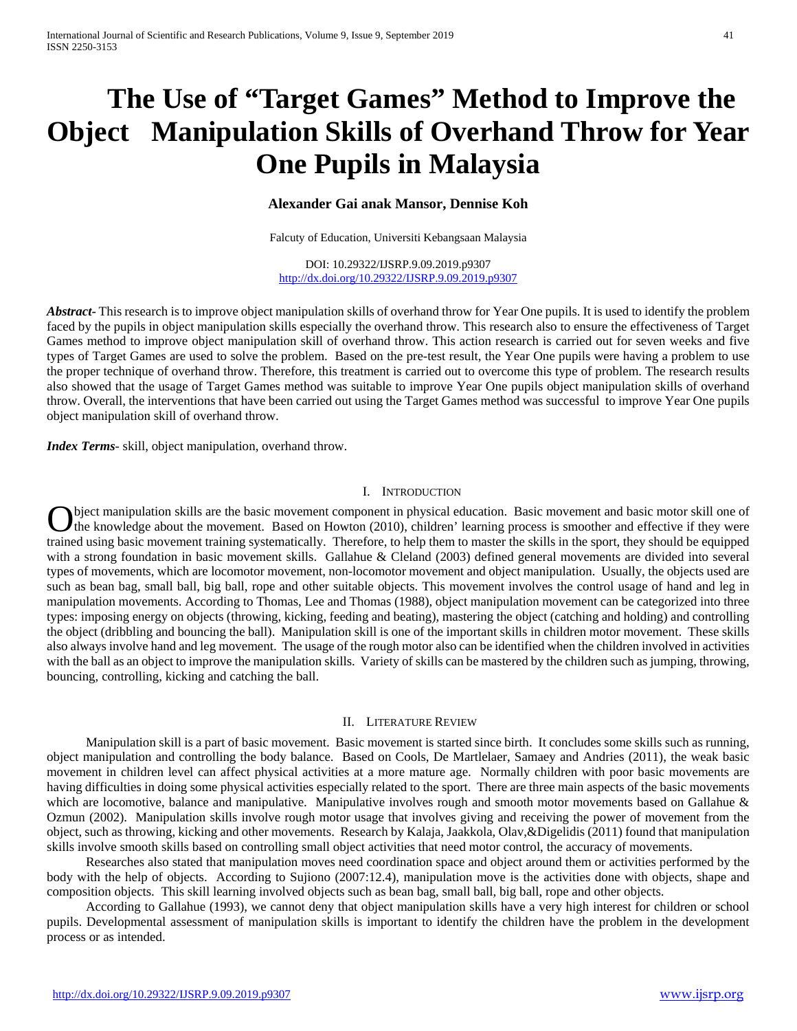# **The Use of "Target Games" Method to Improve the Object Manipulation Skills of Overhand Throw for Year One Pupils in Malaysia**

# **Alexander Gai anak Mansor, Dennise Koh**

Falcuty of Education, Universiti Kebangsaan Malaysia

DOI: 10.29322/IJSRP.9.09.2019.p9307 <http://dx.doi.org/10.29322/IJSRP.9.09.2019.p9307>

*Abstract***-** This research is to improve object manipulation skills of overhand throw for Year One pupils. It is used to identify the problem faced by the pupils in object manipulation skills especially the overhand throw. This research also to ensure the effectiveness of Target Games method to improve object manipulation skill of overhand throw. This action research is carried out for seven weeks and five types of Target Games are used to solve the problem. Based on the pre-test result, the Year One pupils were having a problem to use the proper technique of overhand throw. Therefore, this treatment is carried out to overcome this type of problem. The research results also showed that the usage of Target Games method was suitable to improve Year One pupils object manipulation skills of overhand throw. Overall, the interventions that have been carried out using the Target Games method was successful to improve Year One pupils object manipulation skill of overhand throw.

*Index Terms*- skill, object manipulation, overhand throw.

## I. INTRODUCTION

bject manipulation skills are the basic movement component in physical education. Basic movement and basic motor skill one of O bject manipulation skills are the basic movement component in physical education. Basic movement and basic motor skill one of the knowledge about the movement. Based on Howton (2010), children' learning process is smooth trained using basic movement training systematically. Therefore, to help them to master the skills in the sport, they should be equipped with a strong foundation in basic movement skills. Gallahue & Cleland (2003) defined general movements are divided into several types of movements, which are locomotor movement, non-locomotor movement and object manipulation. Usually, the objects used are such as bean bag, small ball, big ball, rope and other suitable objects. This movement involves the control usage of hand and leg in manipulation movements. According to Thomas, Lee and Thomas (1988), object manipulation movement can be categorized into three types: imposing energy on objects (throwing, kicking, feeding and beating), mastering the object (catching and holding) and controlling the object (dribbling and bouncing the ball). Manipulation skill is one of the important skills in children motor movement. These skills also always involve hand and leg movement. The usage of the rough motor also can be identified when the children involved in activities with the ball as an object to improve the manipulation skills. Variety of skills can be mastered by the children such as jumping, throwing, bouncing, controlling, kicking and catching the ball.

#### II. LITERATURE REVIEW

 Manipulation skill is a part of basic movement. Basic movement is started since birth. It concludes some skills such as running, object manipulation and controlling the body balance. Based on Cools, De Martlelaer, Samaey and Andries (2011), the weak basic movement in children level can affect physical activities at a more mature age. Normally children with poor basic movements are having difficulties in doing some physical activities especially related to the sport. There are three main aspects of the basic movements which are locomotive, balance and manipulative. Manipulative involves rough and smooth motor movements based on Gallahue & Ozmun (2002). Manipulation skills involve rough motor usage that involves giving and receiving the power of movement from the object, such as throwing, kicking and other movements. Research by Kalaja, Jaakkola, Olav,&Digelidis (2011) found that manipulation skills involve smooth skills based on controlling small object activities that need motor control, the accuracy of movements.

 Researches also stated that manipulation moves need coordination space and object around them or activities performed by the body with the help of objects. According to Sujiono (2007:12.4), manipulation move is the activities done with objects, shape and composition objects. This skill learning involved objects such as bean bag, small ball, big ball, rope and other objects.

 According to Gallahue (1993), we cannot deny that object manipulation skills have a very high interest for children or school pupils. Developmental assessment of manipulation skills is important to identify the children have the problem in the development process or as intended.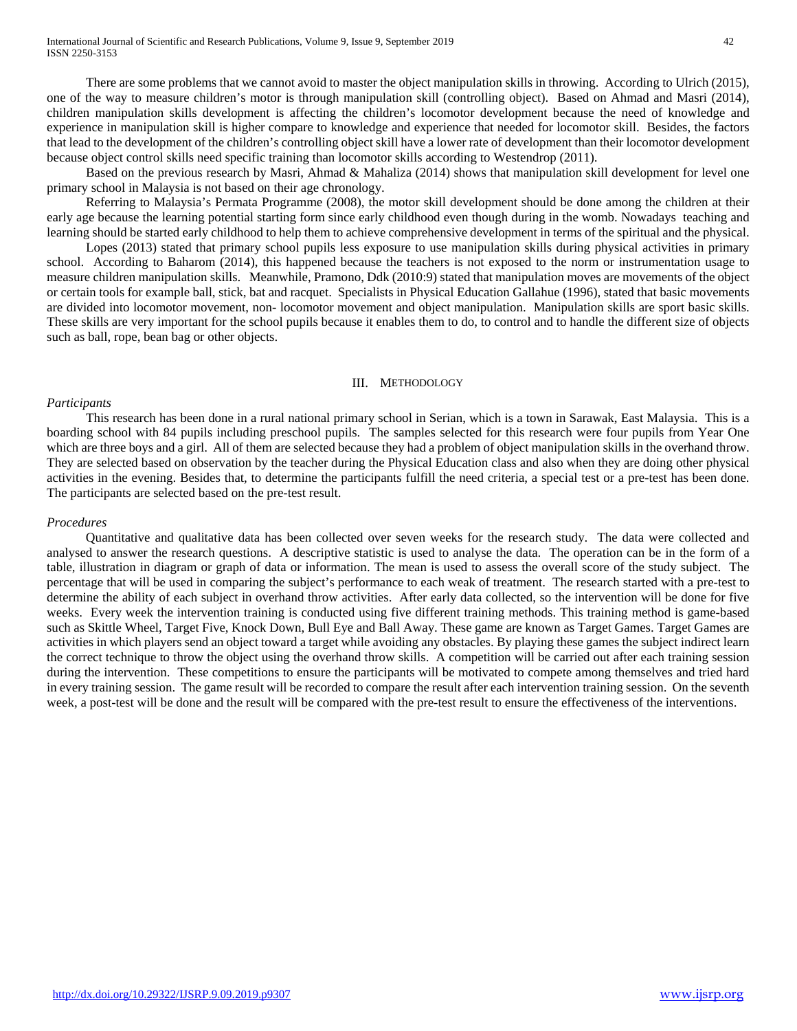There are some problems that we cannot avoid to master the object manipulation skills in throwing. According to Ulrich (2015), one of the way to measure children's motor is through manipulation skill (controlling object). Based on Ahmad and Masri (2014), children manipulation skills development is affecting the children's locomotor development because the need of knowledge and experience in manipulation skill is higher compare to knowledge and experience that needed for locomotor skill. Besides, the factors that lead to the development of the children's controlling object skill have a lower rate of development than their locomotor development because object control skills need specific training than locomotor skills according to Westendrop (2011).

 Based on the previous research by Masri, Ahmad & Mahaliza (2014) shows that manipulation skill development for level one primary school in Malaysia is not based on their age chronology.

 Referring to Malaysia's Permata Programme (2008), the motor skill development should be done among the children at their early age because the learning potential starting form since early childhood even though during in the womb. Nowadays teaching and learning should be started early childhood to help them to achieve comprehensive development in terms of the spiritual and the physical.

 Lopes (2013) stated that primary school pupils less exposure to use manipulation skills during physical activities in primary school. According to Baharom (2014), this happened because the teachers is not exposed to the norm or instrumentation usage to measure children manipulation skills. Meanwhile, Pramono, Ddk (2010:9) stated that manipulation moves are movements of the object or certain tools for example ball, stick, bat and racquet. Specialists in Physical Education Gallahue (1996), stated that basic movements are divided into locomotor movement, non- locomotor movement and object manipulation. Manipulation skills are sport basic skills. These skills are very important for the school pupils because it enables them to do, to control and to handle the different size of objects such as ball, rope, bean bag or other objects.

#### III. METHODOLOGY

#### *Participants*

 This research has been done in a rural national primary school in Serian, which is a town in Sarawak, East Malaysia. This is a boarding school with 84 pupils including preschool pupils. The samples selected for this research were four pupils from Year One which are three boys and a girl. All of them are selected because they had a problem of object manipulation skills in the overhand throw. They are selected based on observation by the teacher during the Physical Education class and also when they are doing other physical activities in the evening. Besides that, to determine the participants fulfill the need criteria, a special test or a pre-test has been done. The participants are selected based on the pre-test result.

#### *Procedures*

 Quantitative and qualitative data has been collected over seven weeks for the research study. The data were collected and analysed to answer the research questions. A descriptive statistic is used to analyse the data. The operation can be in the form of a table, illustration in diagram or graph of data or information. The mean is used to assess the overall score of the study subject. The percentage that will be used in comparing the subject's performance to each weak of treatment. The research started with a pre-test to determine the ability of each subject in overhand throw activities. After early data collected, so the intervention will be done for five weeks. Every week the intervention training is conducted using five different training methods. This training method is game-based such as Skittle Wheel, Target Five, Knock Down, Bull Eye and Ball Away. These game are known as Target Games. Target Games are activities in which players send an object toward a target while avoiding any obstacles. By playing these games the subject indirect learn the correct technique to throw the object using the overhand throw skills. A competition will be carried out after each training session during the intervention. These competitions to ensure the participants will be motivated to compete among themselves and tried hard in every training session. The game result will be recorded to compare the result after each intervention training session. On the seventh week, a post-test will be done and the result will be compared with the pre-test result to ensure the effectiveness of the interventions.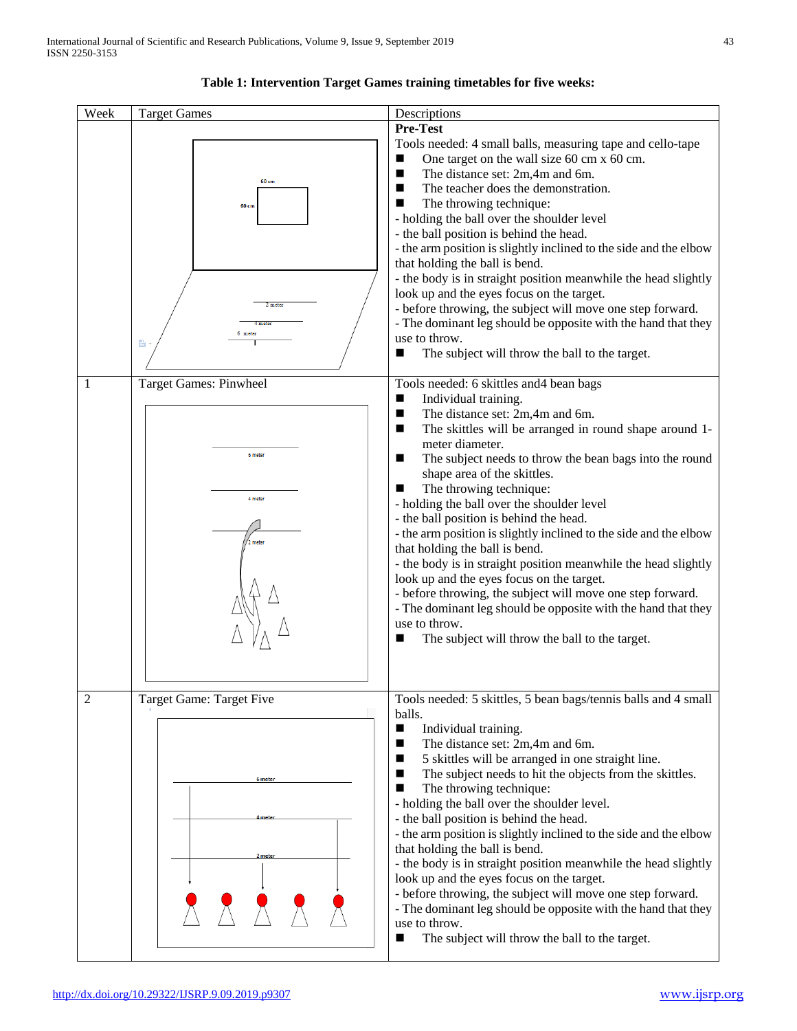

## **Table 1: Intervention Target Games training timetables for five weeks:**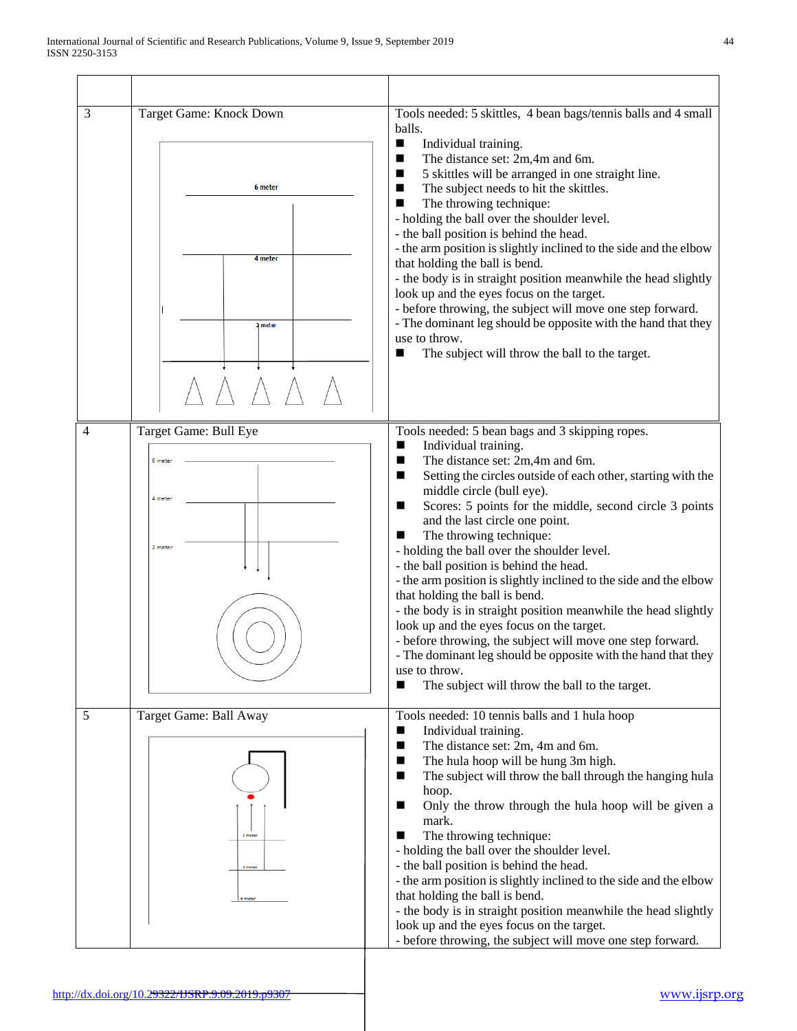| 3 | Target Game: Knock Down<br>6 meter<br>4 meter<br>2 meter | Tools needed: 5 skittles, 4 bean bags/tennis balls and 4 small<br>balls.<br>Individual training.<br>■<br>The distance set: 2m,4m and 6m.<br>п<br>5 skittles will be arranged in one straight line.<br>■<br>The subject needs to hit the skittles.<br>ш<br>The throwing technique:<br>■<br>- holding the ball over the shoulder level.<br>- the ball position is behind the head.<br>- the arm position is slightly inclined to the side and the elbow<br>that holding the ball is bend.<br>- the body is in straight position meanwhile the head slightly<br>look up and the eyes focus on the target.<br>- before throwing, the subject will move one step forward.<br>- The dominant leg should be opposite with the hand that they<br>use to throw.<br>The subject will throw the ball to the target.<br>■                                                                 |
|---|----------------------------------------------------------|-------------------------------------------------------------------------------------------------------------------------------------------------------------------------------------------------------------------------------------------------------------------------------------------------------------------------------------------------------------------------------------------------------------------------------------------------------------------------------------------------------------------------------------------------------------------------------------------------------------------------------------------------------------------------------------------------------------------------------------------------------------------------------------------------------------------------------------------------------------------------------|
| 4 | Target Game: Bull Eye<br>6 meter<br>4 meter<br>2 meter   | Tools needed: 5 bean bags and 3 skipping ropes.<br>Individual training.<br>▬<br>The distance set: 2m,4m and 6m.<br>■<br>Setting the circles outside of each other, starting with the<br>ш<br>middle circle (bull eye).<br>Scores: 5 points for the middle, second circle 3 points<br>■<br>and the last circle one point.<br>The throwing technique:<br>■<br>- holding the ball over the shoulder level.<br>- the ball position is behind the head.<br>- the arm position is slightly inclined to the side and the elbow<br>that holding the ball is bend.<br>- the body is in straight position meanwhile the head slightly<br>look up and the eyes focus on the target.<br>- before throwing, the subject will move one step forward.<br>The dominant leg should be opposite with the hand that they<br>use to throw.<br>The subject will throw the ball to the target.<br>■ |
| 5 | Target Game: Ball Away<br>2 mate                         | Tools needed: 10 tennis balls and 1 hula hoop<br>Individual training.<br>ш<br>The distance set: 2m, 4m and 6m.<br>■<br>The hula hoop will be hung 3m high.<br>ш<br>The subject will throw the ball through the hanging hula<br>ш<br>hoop.<br>Only the throw through the hula hoop will be given a<br>ш<br>mark.<br>The throwing technique:<br>■<br>- holding the ball over the shoulder level.<br>- the ball position is behind the head.<br>- the arm position is slightly inclined to the side and the elbow<br>that holding the ball is bend.<br>- the body is in straight position meanwhile the head slightly<br>look up and the eyes focus on the target.<br>- before throwing, the subject will move one step forward.                                                                                                                                                 |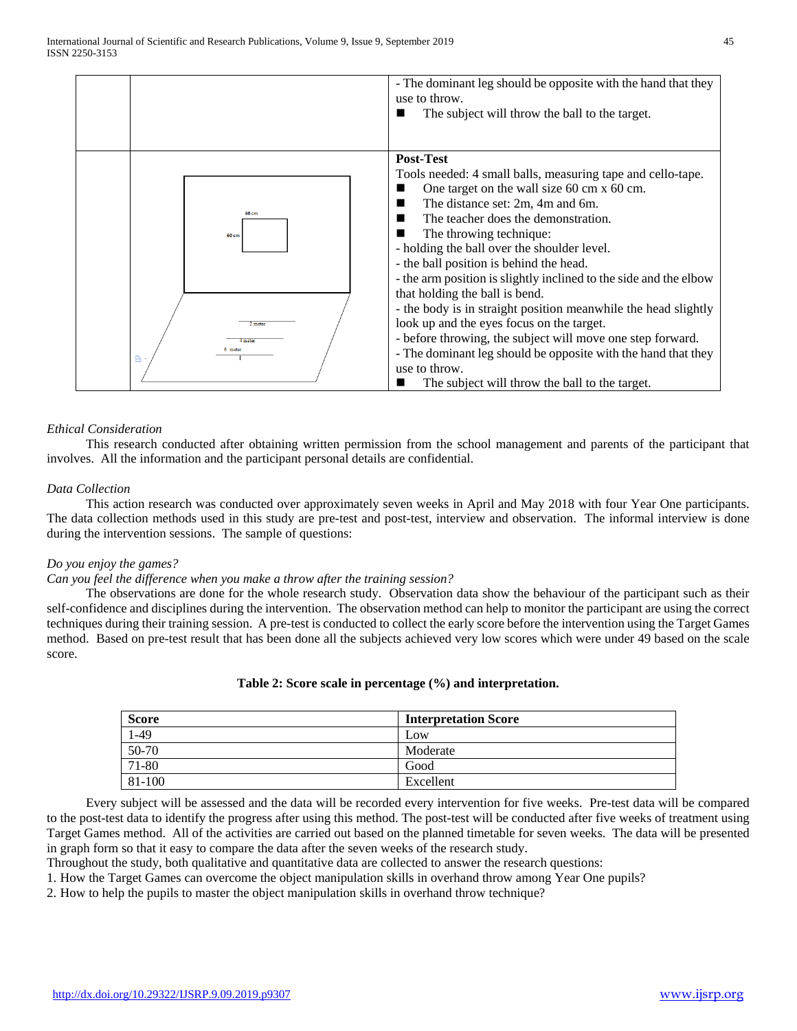

## *Ethical Consideration*

 This research conducted after obtaining written permission from the school management and parents of the participant that involves. All the information and the participant personal details are confidential.

## *Data Collection*

 This action research was conducted over approximately seven weeks in April and May 2018 with four Year One participants. The data collection methods used in this study are pre-test and post-test, interview and observation. The informal interview is done during the intervention sessions. The sample of questions:

#### *Do you enjoy the games?*

## *Can you feel the difference when you make a throw after the training session?*

 The observations are done for the whole research study. Observation data show the behaviour of the participant such as their self-confidence and disciplines during the intervention. The observation method can help to monitor the participant are using the correct techniques during their training session. A pre-test is conducted to collect the early score before the intervention using the Target Games method. Based on pre-test result that has been done all the subjects achieved very low scores which were under 49 based on the scale score.

## **Table 2: Score scale in percentage (%) and interpretation.**

| <b>Score</b> | <b>Interpretation Score</b> |
|--------------|-----------------------------|
| $1-49$       | Low                         |
| 50-70        | Moderate                    |
| 71-80        | Good                        |
| 81-100       | Excellent                   |

 Every subject will be assessed and the data will be recorded every intervention for five weeks. Pre-test data will be compared to the post-test data to identify the progress after using this method. The post-test will be conducted after five weeks of treatment using Target Games method. All of the activities are carried out based on the planned timetable for seven weeks. The data will be presented in graph form so that it easy to compare the data after the seven weeks of the research study.

Throughout the study, both qualitative and quantitative data are collected to answer the research questions:

1. How the Target Games can overcome the object manipulation skills in overhand throw among Year One pupils?

2. How to help the pupils to master the object manipulation skills in overhand throw technique?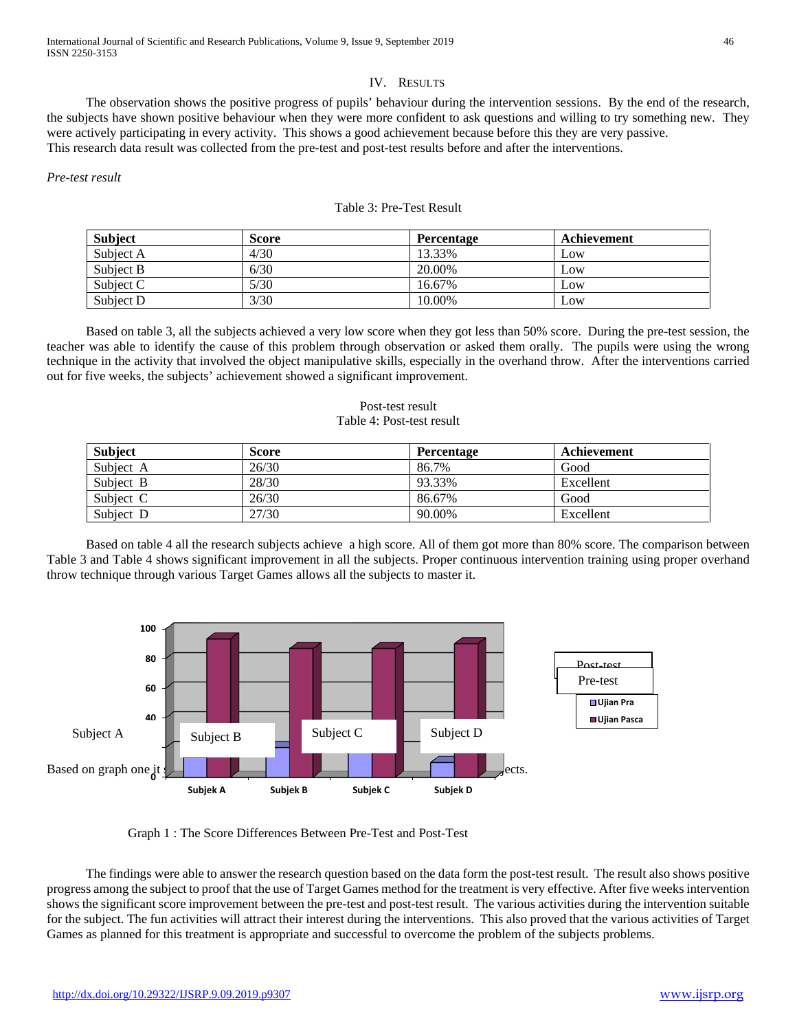## IV. RESULTS

 The observation shows the positive progress of pupils' behaviour during the intervention sessions. By the end of the research, the subjects have shown positive behaviour when they were more confident to ask questions and willing to try something new. They were actively participating in every activity. This shows a good achievement because before this they are very passive. This research data result was collected from the pre-test and post-test results before and after the interventions.

*Pre-test result* 

| Subject   | Score | <b>Percentage</b> | Achievement |  |
|-----------|-------|-------------------|-------------|--|
| Subject A | 4/30  | 13.33%            | Low         |  |
| Subject B | 6/30  | 20.00%            | Low         |  |
| Subject C | 5/30  | 16.67%            | Low         |  |
| Subject D | 3/30  | 10.00%            | Low         |  |

# Table 3: Pre-Test Result

 Based on table 3, all the subjects achieved a very low score when they got less than 50% score. During the pre-test session, the teacher was able to identify the cause of this problem through observation or asked them orally. The pupils were using the wrong technique in the activity that involved the object manipulative skills, especially in the overhand throw. After the interventions carried out for five weeks, the subjects' achievement showed a significant improvement.

## Post-test result Table 4: Post-test result

| <b>Subject</b> | <b>Score</b> | <b>Percentage</b> | Achievement |
|----------------|--------------|-------------------|-------------|
| Subject A      | 26/30        | 86.7%             | Good        |
| Subject B      | 28/30        | 93.33%            | Excellent   |
| Subject C      | 26/30        | 86.67%            | Good        |
| Subject D      | 27/30        | 90.00%            | Excellent   |

 Based on table 4 all the research subjects achieve a high score. All of them got more than 80% score. The comparison between Table 3 and Table 4 shows significant improvement in all the subjects. Proper continuous intervention training using proper overhand throw technique through various Target Games allows all the subjects to master it.



Graph 1 : The Score Differences Between Pre-Test and Post-Test

 The findings were able to answer the research question based on the data form the post-test result. The result also shows positive progress among the subject to proof that the use of Target Games method for the treatment is very effective. After five weeks intervention shows the significant score improvement between the pre-test and post-test result. The various activities during the intervention suitable for the subject. The fun activities will attract their interest during the interventions. This also proved that the various activities of Target Games as planned for this treatment is appropriate and successful to overcome the problem of the subjects problems.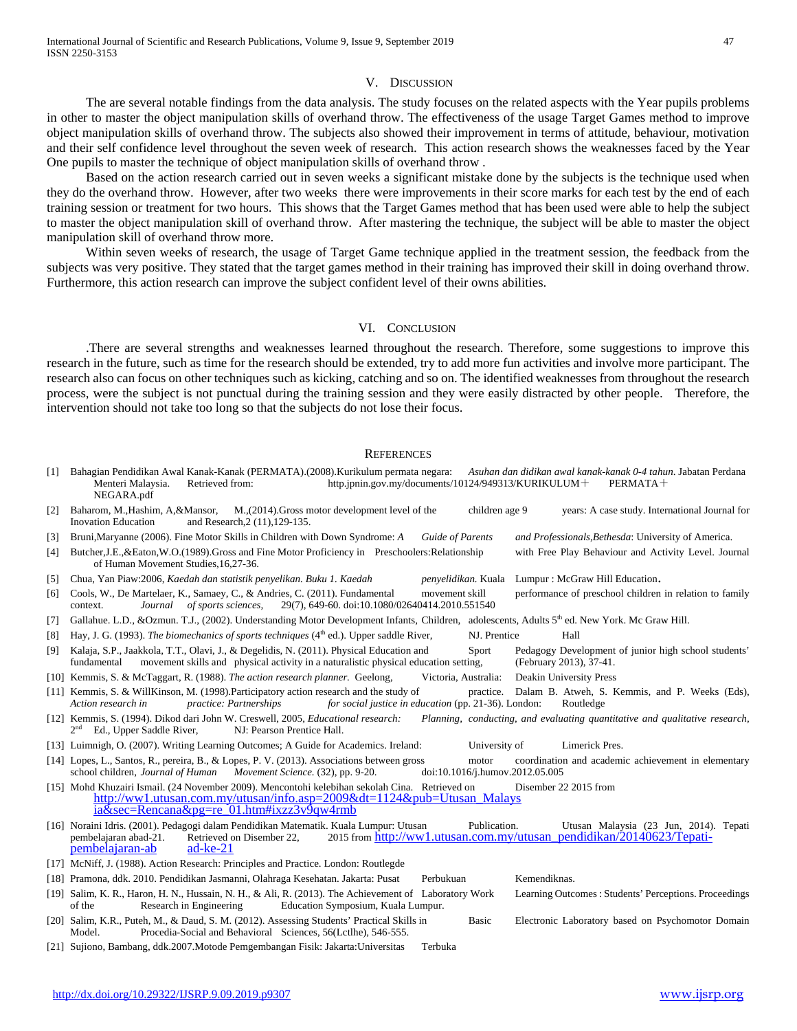#### V. DISCUSSION

 The are several notable findings from the data analysis. The study focuses on the related aspects with the Year pupils problems in other to master the object manipulation skills of overhand throw. The effectiveness of the usage Target Games method to improve object manipulation skills of overhand throw. The subjects also showed their improvement in terms of attitude, behaviour, motivation and their self confidence level throughout the seven week of research. This action research shows the weaknesses faced by the Year One pupils to master the technique of object manipulation skills of overhand throw .

 Based on the action research carried out in seven weeks a significant mistake done by the subjects is the technique used when they do the overhand throw. However, after two weeks there were improvements in their score marks for each test by the end of each training session or treatment for two hours. This shows that the Target Games method that has been used were able to help the subject to master the object manipulation skill of overhand throw. After mastering the technique, the subject will be able to master the object manipulation skill of overhand throw more.

 Within seven weeks of research, the usage of Target Game technique applied in the treatment session, the feedback from the subjects was very positive. They stated that the target games method in their training has improved their skill in doing overhand throw. Furthermore, this action research can improve the subject confident level of their owns abilities.

#### VI. CONCLUSION

 .There are several strengths and weaknesses learned throughout the research. Therefore, some suggestions to improve this research in the future, such as time for the research should be extended, try to add more fun activities and involve more participant. The research also can focus on other techniques such as kicking, catching and so on. The identified weaknesses from throughout the research process, were the subject is not punctual during the training session and they were easily distracted by other people. Therefore, the intervention should not take too long so that the subjects do not lose their focus.

#### **REFERENCES**

| [1]                    | Bahagian Pendidikan Awal Kanak-Kanak (PERMATA).(2008). Kurikulum permata negara:<br>Asuhan dan didikan awal kanak-kanak 0-4 tahun. Jabatan Perdana<br>http.jpnin.gov.my/documents/10124/949313/KURIKULUM $+$<br>Menteri Malaysia.<br>Retrieved from:<br>$PERMATA+$<br>NEGARA.pdf                                 |
|------------------------|------------------------------------------------------------------------------------------------------------------------------------------------------------------------------------------------------------------------------------------------------------------------------------------------------------------|
| $[2]$                  | Baharom, M., Hashim, A, & Mansor, M., (2014). Gross motor development level of the<br>children age 9<br>years: A case study. International Journal for<br><b>Inovation Education</b><br>and Research, 2 (11), 129-135.                                                                                           |
| $[3]$                  | Bruni, Maryanne (2006). Fine Motor Skills in Children with Down Syndrome: A<br><b>Guide of Parents</b><br>and Professionals, Bethesda: University of America.                                                                                                                                                    |
| [4]                    | Butcher, J.E., & Eaton, W.O. (1989). Gross and Fine Motor Proficiency in Preschoolers: Relationship<br>with Free Play Behaviour and Activity Level. Journal<br>of Human Movement Studies, 16, 27-36.                                                                                                             |
| $\lceil 5 \rceil$      | Chua, Yan Piaw:2006, Kaedah dan statistik penyelikan. Buku 1. Kaedah<br>penyelidikan. Kuala Lumpur: McGraw Hill Education.                                                                                                                                                                                       |
| [6]                    | performance of preschool children in relation to family<br>Cools, W., De Martelaer, K., Samaey, C., & Andries, C. (2011). Fundamental<br>movement skill<br>29(7), 649-60. doi:10.1080/02640414.2010.551540<br>of sports sciences,<br>Journal<br>context.                                                         |
| [7]                    | Gallahue. L.D., &Ozmun. T.J., (2002). Understanding Motor Development Infants, Children, adolescents, Adults 5 <sup>th</sup> ed. New York. Mc Graw Hill.                                                                                                                                                         |
| [8]                    | Hay, J. G. (1993). The biomechanics of sports techniques (4th ed.). Upper saddle River,<br>NJ. Prentice<br>Hall                                                                                                                                                                                                  |
| [9]                    | Kalaja, S.P., Jaakkola, T.T., Olavi, J., & Degelidis, N. (2011). Physical Education and<br>Sport<br>Pedagogy Development of junior high school students'<br>movement skills and physical activity in a naturalistic physical education setting,<br>(February 2013), 37-41.<br>fundamental                        |
|                        | [10] Kemmis, S. & McTaggart, R. (1988). The action research planner. Geelong,<br>Victoria, Australia:<br>Deakin University Press                                                                                                                                                                                 |
|                        | [11] Kemmis, S. & WillKinson, M. (1998). Participatory action research and the study of<br>practice. Dalam B. Atweh, S. Kemmis, and P. Weeks (Eds),<br>Action research in<br>practice: Partnerships<br>for social justice in education (pp. 21-36). London:<br>Routledge                                         |
|                        | [12] Kemmis, S. (1994). Dikod dari John W. Creswell, 2005, <i>Educational research</i> :<br>Planning, conducting, and evaluating quantitative and qualitative research,<br>Ed., Upper Saddle River,<br>NJ: Pearson Prentice Hall.                                                                                |
|                        | [13] Luimnigh, O. (2007). Writing Learning Outcomes; A Guide for Academics. Ireland:<br>University of<br>Limerick Pres.                                                                                                                                                                                          |
|                        | [14] Lopes, L., Santos, R., pereira, B., & Lopes, P. V. (2013). Associations between gross<br>coordination and academic achievement in elementary<br>motor<br>school children, Journal of Human Movement Science. (32), pp. 9-20.<br>doi:10.1016/j.humov.2012.05.005                                             |
|                        | [15] Mohd Khuzairi Ismail. (24 November 2009). Mencontohi kelebihan sekolah Cina. Retrieved on<br>Disember 22 2015 from<br>http://ww1.utusan.com.my/utusan/info.asp= $2009\&dt=1124\&pub=Utusan$ Malays<br>ia&sec=Rencana&pg=re_01.htm#ixzz3v9qw4rmb                                                             |
|                        | [16] Noraini Idris. (2001). Pedagogi dalam Pendidikan Matematik. Kuala Lumpur: Utusan<br>Publication.<br>Utusan Malaysia (23 Jun, 2014). Tepati<br>2015 from http://ww1.utusan.com.my/utusan_pendidikan/20140623/Tepati-<br>pembelajaran abad-21.<br>Retrieved on Disember 22,<br>pembelajaran-ab<br>ad- $ke-21$ |
|                        | [17] McNiff, J. (1988). Action Research: Principles and Practice. London: Routlegde                                                                                                                                                                                                                              |
|                        | [18] Pramona, ddk. 2010. Pendidikan Jasmanni, Olahraga Kesehatan. Jakarta: Pusat<br>Kemendiknas.<br>Perbukuan                                                                                                                                                                                                    |
|                        | [19] Salim, K. R., Haron, H. N., Hussain, N. H., & Ali, R. (2013). The Achievement of Laboratory Work<br>Learning Outcomes: Students' Perceptions. Proceedings<br>of the<br>Research in Engineering<br>Education Symposium, Kuala Lumpur.                                                                        |
|                        | [20] Salim, K.R., Puteh, M., & Daud, S. M. (2012). Assessing Students' Practical Skills in<br>Basic<br>Electronic Laboratory based on Psychomotor Domain<br>Procedia-Social and Behavioral Sciences, 56(Lctlhe), 546-555.<br>Model.                                                                              |
| $0.11 \times 10^{-11}$ | $P(1, 1)$ $P(0, 0, 0, 1)$ $P(1, 1)$ $P(1, 1)$ $P(1, 1)$ $P(1, 1)$ $P(1, 1)$                                                                                                                                                                                                                                      |

[21] Sujiono, Bambang, ddk.2007.Motode Pemgembangan Fisik: Jakarta:Universitas Terbuka